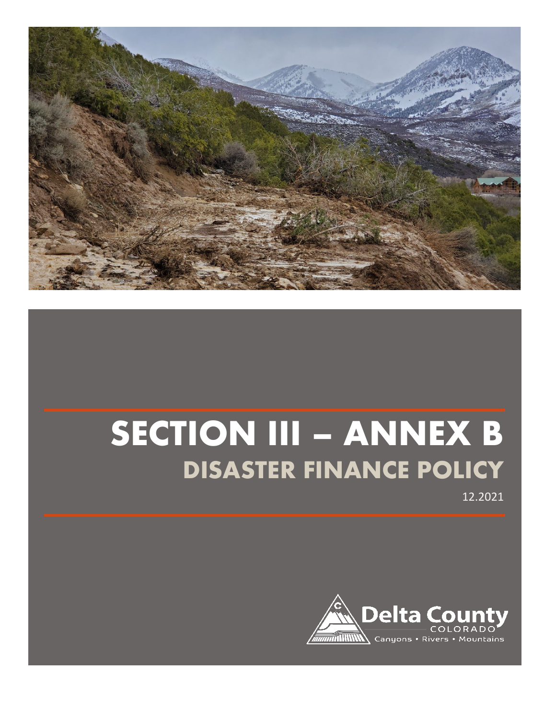

# **SECTION III - ANNEX B DISASTER FINANCE POLICY**

12.2021

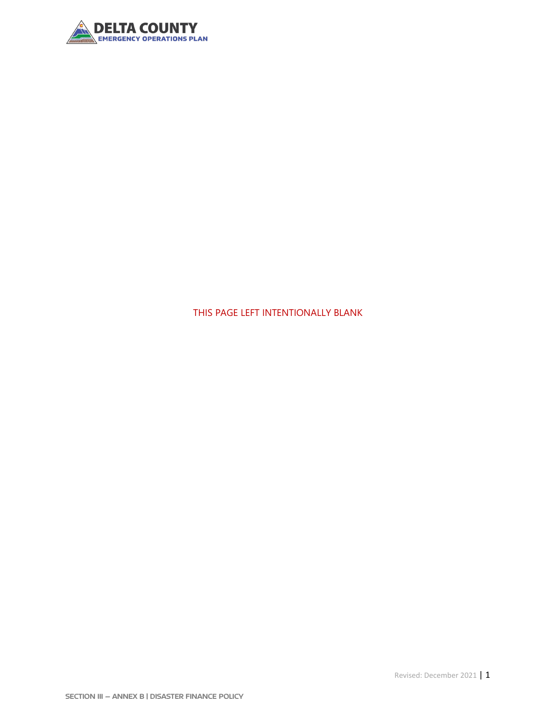

#### THIS PAGE LEFT INTENTIONALLY BLANK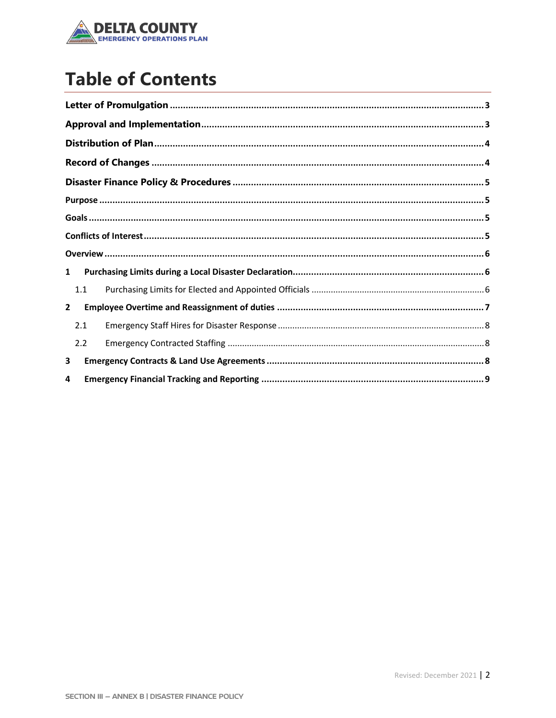

# **Table of Contents**

| $\mathbf{1}$ |     |  |  |  |  |  |  |
|--------------|-----|--|--|--|--|--|--|
|              | 1.1 |  |  |  |  |  |  |
| $\mathbf{2}$ |     |  |  |  |  |  |  |
|              | 2.1 |  |  |  |  |  |  |
|              | 2.2 |  |  |  |  |  |  |
| 3            |     |  |  |  |  |  |  |
| 4            |     |  |  |  |  |  |  |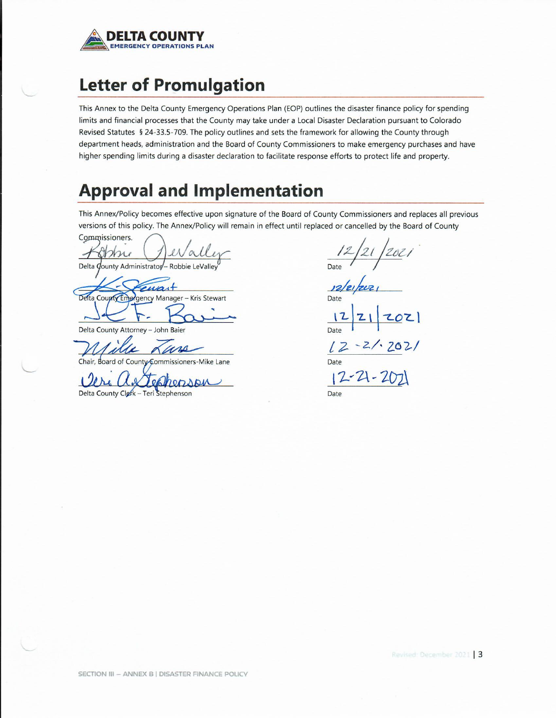

# **Letter of Promulgation**

This Annex to the Delta County Emergency Operations Plan (EOP) outlines the disaster finance policy for spending limits and financial processes that the County may take under a Local Disaster Declaration pursuant to Colorado Revised Statutes § 24-33.5-709. The policy outlines and sets the framework for allowing the County through department heads, administration and the Board of County Commissioners to make emergency purchases and have higher spending limits during a disaster declaration to facilitate response efforts to protect life and property.

# **Approval and Implementation**

This Annex/Policy becomes effective upon signature of the Board of County Commissioners and replaces all previous versions of this policy. The Annex/Policy will remain in effect until replaced or cancelled by the Board of County

Commissioners. Delta County Administrator- Robbie LeValley

enast Delta Coupty Emergency Manager - Kris Stewart

Delta County Attorney - John Baier

are

Chair, Board of County Commissioners-Mike Lane

Cherson

Delta County Clerk - Teri Stephenson

 $\frac{12}{21}$  2021  $12/e$ / $2e$ 12  $12 - 2/.202/$  $12 - 21 - 202$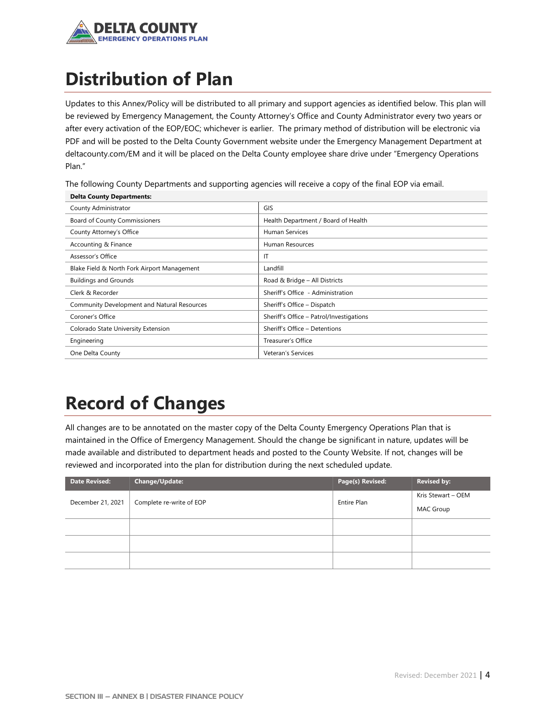

**Delta County Departments:**

# <span id="page-4-0"></span>**Distribution of Plan**

Updates to this Annex/Policy will be distributed to all primary and support agencies as identified below. This plan will be reviewed by Emergency Management, the County Attorney's Office and County Administrator every two years or after every activation of the EOP/EOC; whichever is earlier. The primary method of distribution will be electronic via PDF and will be posted to the Delta County Government website under the Emergency Management Department at deltacounty.com/EM and it will be placed on the Delta County employee share drive under "Emergency Operations Plan."

The following County Departments and supporting agencies will receive a copy of the final EOP via email.

| Della County Departments.                   |                                          |  |  |  |  |
|---------------------------------------------|------------------------------------------|--|--|--|--|
| County Administrator                        | GIS                                      |  |  |  |  |
| Board of County Commissioners               | Health Department / Board of Health      |  |  |  |  |
| County Attorney's Office                    | <b>Human Services</b>                    |  |  |  |  |
| Accounting & Finance                        | Human Resources                          |  |  |  |  |
| Assessor's Office                           | ΙT                                       |  |  |  |  |
| Blake Field & North Fork Airport Management | Landfill                                 |  |  |  |  |
| <b>Buildings and Grounds</b>                | Road & Bridge - All Districts            |  |  |  |  |
| Clerk & Recorder                            | Sheriff's Office - Administration        |  |  |  |  |
| Community Development and Natural Resources | Sheriff's Office - Dispatch              |  |  |  |  |
| Coroner's Office                            | Sheriff's Office - Patrol/Investigations |  |  |  |  |
| Colorado State University Extension         | Sheriff's Office - Detentions            |  |  |  |  |
| Engineering                                 | Treasurer's Office                       |  |  |  |  |
| One Delta County                            | <b>Veteran's Services</b>                |  |  |  |  |

# <span id="page-4-1"></span>**Record of Changes**

All changes are to be annotated on the master copy of the Delta County Emergency Operations Plan that is maintained in the Office of Emergency Management. Should the change be significant in nature, updates will be made available and distributed to department heads and posted to the County Website. If not, changes will be reviewed and incorporated into the plan for distribution during the next scheduled update.

| <b>Date Revised:</b> | <b>Change/Update:</b>    | Page(s) Revised: | <b>Revised by:</b> |
|----------------------|--------------------------|------------------|--------------------|
| December 21, 2021    | Complete re-write of EOP | Entire Plan      | Kris Stewart - OEM |
|                      |                          |                  | MAC Group          |
|                      |                          |                  |                    |
|                      |                          |                  |                    |
|                      |                          |                  |                    |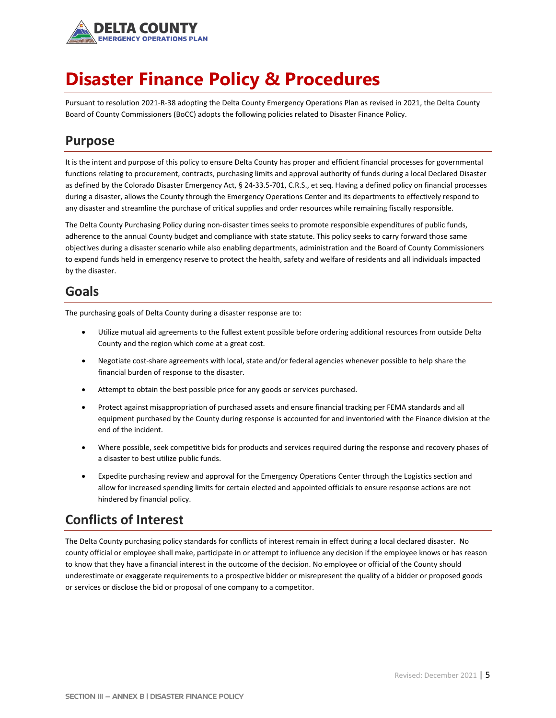

# **Disaster Finance Policy & Procedures**

Pursuant to resolution 2021-R-38 adopting the Delta County Emergency Operations Plan as revised in 2021, the Delta County Board of County Commissioners (BoCC) adopts the following policies related to Disaster Finance Policy.

#### **Purpose**

It is the intent and purpose of this policy to ensure Delta County has proper and efficient financial processes for governmental functions relating to procurement, contracts, purchasing limits and approval authority of funds during a local Declared Disaster as defined by the Colorado Disaster Emergency Act, § 24-33.5-701, C.R.S., et seq. Having a defined policy on financial processes during a disaster, allows the County through the Emergency Operations Center and its departments to effectively respond to any disaster and streamline the purchase of critical supplies and order resources while remaining fiscally responsible.

The Delta County Purchasing Policy during non-disaster times seeks to promote responsible expenditures of public funds, adherence to the annual County budget and compliance with state statute. This policy seeks to carry forward those same objectives during a disaster scenario while also enabling departments, administration and the Board of County Commissioners to expend funds held in emergency reserve to protect the health, safety and welfare of residents and all individuals impacted by the disaster.

#### **Goals**

The purchasing goals of Delta County during a disaster response are to:

- Utilize mutual aid agreements to the fullest extent possible before ordering additional resources from outside Delta County and the region which come at a great cost.
- Negotiate cost-share agreements with local, state and/or federal agencies whenever possible to help share the financial burden of response to the disaster.
- Attempt to obtain the best possible price for any goods or services purchased.
- Protect against misappropriation of purchased assets and ensure financial tracking per FEMA standards and all equipment purchased by the County during response is accounted for and inventoried with the Finance division at the end of the incident.
- Where possible, seek competitive bids for products and services required during the response and recovery phases of a disaster to best utilize public funds.
- Expedite purchasing review and approval for the Emergency Operations Center through the Logistics section and allow for increased spending limits for certain elected and appointed officials to ensure response actions are not hindered by financial policy.

## **Conflicts of Interest**

The Delta County purchasing policy standards for conflicts of interest remain in effect during a local declared disaster. No county official or employee shall make, participate in or attempt to influence any decision if the employee knows or has reason to know that they have a financial interest in the outcome of the decision. No employee or official of the County should underestimate or exaggerate requirements to a prospective bidder or misrepresent the quality of a bidder or proposed goods or services or disclose the bid or proposal of one company to a competitor.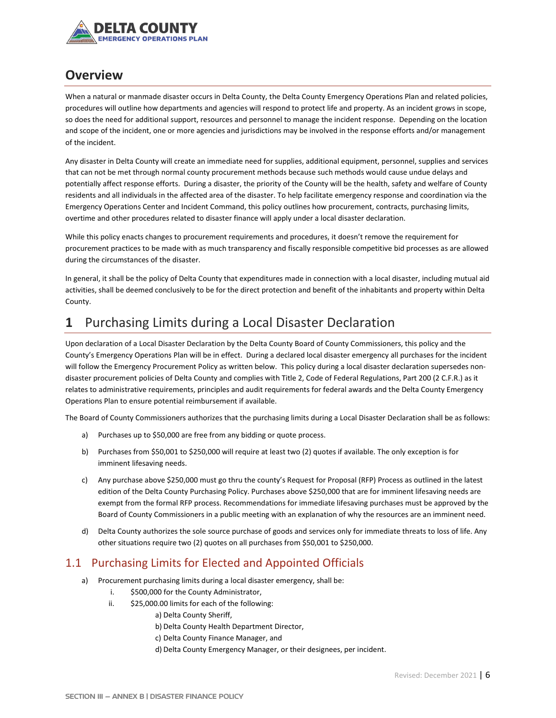

### <span id="page-6-0"></span>**Overview**

When a natural or manmade disaster occurs in Delta County, the Delta County Emergency Operations Plan and related policies, procedures will outline how departments and agencies will respond to protect life and property. As an incident grows in scope, so does the need for additional support, resources and personnel to manage the incident response. Depending on the location and scope of the incident, one or more agencies and jurisdictions may be involved in the response efforts and/or management of the incident.

Any disaster in Delta County will create an immediate need for supplies, additional equipment, personnel, supplies and services that can not be met through normal county procurement methods because such methods would cause undue delays and potentially affect response efforts. During a disaster, the priority of the County will be the health, safety and welfare of County residents and all individuals in the affected area of the disaster. To help facilitate emergency response and coordination via the Emergency Operations Center and Incident Command, this policy outlines how procurement, contracts, purchasing limits, overtime and other procedures related to disaster finance will apply under a local disaster declaration.

While this policy enacts changes to procurement requirements and procedures, it doesn't remove the requirement for procurement practices to be made with as much transparency and fiscally responsible competitive bid processes as are allowed during the circumstances of the disaster.

In general, it shall be the policy of Delta County that expenditures made in connection with a local disaster, including mutual aid activities, shall be deemed conclusively to be for the direct protection and benefit of the inhabitants and property within Delta County.

## <span id="page-6-1"></span>**1** Purchasing Limits during a Local Disaster Declaration

Upon declaration of a Local Disaster Declaration by the Delta County Board of County Commissioners, this policy and the County's Emergency Operations Plan will be in effect. During a declared local disaster emergency all purchases for the incident will follow the Emergency Procurement Policy as written below. This policy during a local disaster declaration supersedes nondisaster procurement policies of Delta County and complies with Title 2, Code of Federal Regulations, Part 200 (2 C.F.R.) as it relates to administrative requirements, principles and audit requirements for federal awards and the Delta County Emergency Operations Plan to ensure potential reimbursement if available.

The Board of County Commissioners authorizes that the purchasing limits during a Local Disaster Declaration shall be as follows:

- a) Purchases up to \$50,000 are free from any bidding or quote process.
- b) Purchases from \$50,001 to \$250,000 will require at least two (2) quotes if available. The only exception is for imminent lifesaving needs.
- c) Any purchase above \$250,000 must go thru the county's Request for Proposal (RFP) Process as outlined in the latest edition of the Delta County Purchasing Policy. Purchases above \$250,000 that are for imminent lifesaving needs are exempt from the formal RFP process. Recommendations for immediate lifesaving purchases must be approved by the Board of County Commissioners in a public meeting with an explanation of why the resources are an imminent need.
- d) Delta County authorizes the sole source purchase of goods and services only for immediate threats to loss of life. Any other situations require two (2) quotes on all purchases from \$50,001 to \$250,000.

#### <span id="page-6-2"></span>1.1 Purchasing Limits for Elected and Appointed Officials

- a) Procurement purchasing limits during a local disaster emergency, shall be:
	- i. \$500,000 for the County Administrator,
	- ii. \$25,000.00 limits for each of the following:
		- a) Delta County Sheriff,
		- b) Delta County Health Department Director,
		- c) Delta County Finance Manager, and
		- d) Delta County Emergency Manager, or their designees, per incident.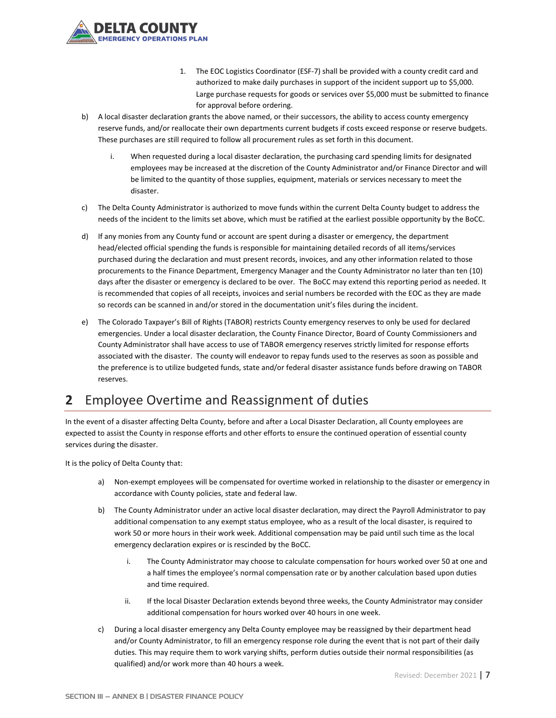

- 1. The EOC Logistics Coordinator (ESF-7) shall be provided with a county credit card and authorized to make daily purchases in support of the incident support up to \$5,000. Large purchase requests for goods or services over \$5,000 must be submitted to finance for approval before ordering.
- b) A local disaster declaration grants the above named, or their successors, the ability to access county emergency reserve funds, and/or reallocate their own departments current budgets if costs exceed response or reserve budgets. These purchases are still required to follow all procurement rules as set forth in this document.
	- i. When requested during a local disaster declaration, the purchasing card spending limits for designated employees may be increased at the discretion of the County Administrator and/or Finance Director and will be limited to the quantity of those supplies, equipment, materials or services necessary to meet the disaster.
- c) The Delta County Administrator is authorized to move funds within the current Delta County budget to address the needs of the incident to the limits set above, which must be ratified at the earliest possible opportunity by the BoCC.
- d) If any monies from any County fund or account are spent during a disaster or emergency, the department head/elected official spending the funds is responsible for maintaining detailed records of all items/services purchased during the declaration and must present records, invoices, and any other information related to those procurements to the Finance Department, Emergency Manager and the County Administrator no later than ten (10) days after the disaster or emergency is declared to be over. The BoCC may extend this reporting period as needed. It is recommended that copies of all receipts, invoices and serial numbers be recorded with the EOC as they are made so records can be scanned in and/or stored in the documentation unit's files during the incident.
- e) The Colorado Taxpayer's Bill of Rights (TABOR) restricts County emergency reserves to only be used for declared emergencies. Under a local disaster declaration, the County Finance Director, Board of County Commissioners and County Administrator shall have access to use of TABOR emergency reserves strictly limited for response efforts associated with the disaster. The county will endeavor to repay funds used to the reserves as soon as possible and the preference is to utilize budgeted funds, state and/or federal disaster assistance funds before drawing on TABOR reserves.

## <span id="page-7-0"></span>**2** Employee Overtime and Reassignment of duties

In the event of a disaster affecting Delta County, before and after a Local Disaster Declaration, all County employees are expected to assist the County in response efforts and other efforts to ensure the continued operation of essential county services during the disaster.

It is the policy of Delta County that:

- a) Non-exempt employees will be compensated for overtime worked in relationship to the disaster or emergency in accordance with County policies, state and federal law.
- b) The County Administrator under an active local disaster declaration, may direct the Payroll Administrator to pay additional compensation to any exempt status employee, who as a result of the local disaster, is required to work 50 or more hours in their work week. Additional compensation may be paid until such time as the local emergency declaration expires or is rescinded by the BoCC.
	- i. The County Administrator may choose to calculate compensation for hours worked over 50 at one and a half times the employee's normal compensation rate or by another calculation based upon duties and time required.
	- ii. If the local Disaster Declaration extends beyond three weeks, the County Administrator may consider additional compensation for hours worked over 40 hours in one week.
- c) During a local disaster emergency any Delta County employee may be reassigned by their department head and/or County Administrator, to fill an emergency response role during the event that is not part of their daily duties. This may require them to work varying shifts, perform duties outside their normal responsibilities (as qualified) and/or work more than 40 hours a week.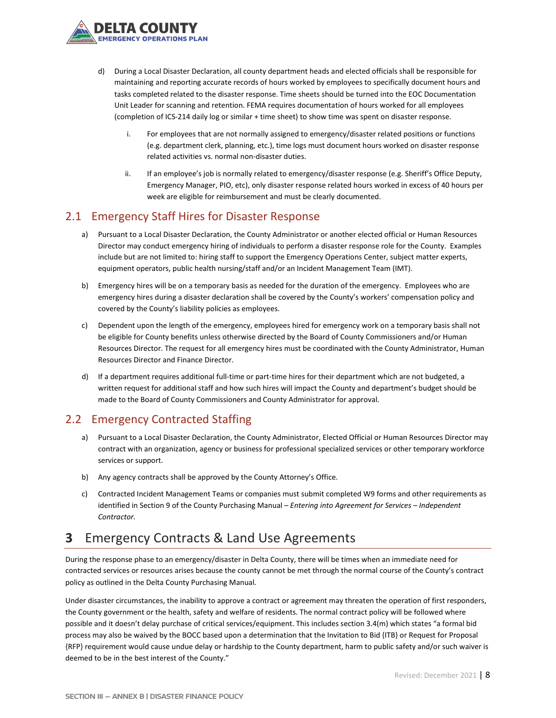

- d) During a Local Disaster Declaration, all county department heads and elected officials shall be responsible for maintaining and reporting accurate records of hours worked by employees to specifically document hours and tasks completed related to the disaster response. Time sheets should be turned into the EOC Documentation Unit Leader for scanning and retention. FEMA requires documentation of hours worked for all employees (completion of ICS-214 daily log or similar + time sheet) to show time was spent on disaster response.
	- i. For employees that are not normally assigned to emergency/disaster related positions or functions (e.g. department clerk, planning, etc.), time logs must document hours worked on disaster response related activities vs. normal non-disaster duties.
	- ii. If an employee's job is normally related to emergency/disaster response (e.g. Sheriff's Office Deputy, Emergency Manager, PIO, etc), only disaster response related hours worked in excess of 40 hours per week are eligible for reimbursement and must be clearly documented.

#### <span id="page-8-0"></span>2.1 Emergency Staff Hires for Disaster Response

- a) Pursuant to a Local Disaster Declaration, the County Administrator or another elected official or Human Resources Director may conduct emergency hiring of individuals to perform a disaster response role for the County. Examples include but are not limited to: hiring staff to support the Emergency Operations Center, subject matter experts, equipment operators, public health nursing/staff and/or an Incident Management Team (IMT).
- b) Emergency hires will be on a temporary basis as needed for the duration of the emergency. Employees who are emergency hires during a disaster declaration shall be covered by the County's workers' compensation policy and covered by the County's liability policies as employees.
- c) Dependent upon the length of the emergency, employees hired for emergency work on a temporary basis shall not be eligible for County benefits unless otherwise directed by the Board of County Commissioners and/or Human Resources Director. The request for all emergency hires must be coordinated with the County Administrator, Human Resources Director and Finance Director.
- d) If a department requires additional full-time or part-time hires for their department which are not budgeted, a written request for additional staff and how such hires will impact the County and department's budget should be made to the Board of County Commissioners and County Administrator for approval.

#### <span id="page-8-1"></span>2.2 Emergency Contracted Staffing

- a) Pursuant to a Local Disaster Declaration, the County Administrator, Elected Official or Human Resources Director may contract with an organization, agency or business for professional specialized services or other temporary workforce services or support.
- b) Any agency contracts shall be approved by the County Attorney's Office.
- c) Contracted Incident Management Teams or companies must submit completed W9 forms and other requirements as identified in Section 9 of the County Purchasing Manual – *Entering into Agreement for Services – Independent Contractor.*

## <span id="page-8-2"></span>**3** Emergency Contracts & Land Use Agreements

During the response phase to an emergency/disaster in Delta County, there will be times when an immediate need for contracted services or resources arises because the county cannot be met through the normal course of the County's contract policy as outlined in the Delta County Purchasing Manual.

Under disaster circumstances, the inability to approve a contract or agreement may threaten the operation of first responders, the County government or the health, safety and welfare of residents. The normal contract policy will be followed where possible and it doesn't delay purchase of critical services/equipment. This includes section 3.4(m) which states "a formal bid process may also be waived by the BOCC based upon a determination that the Invitation to Bid {ITB} or Request for Proposal {RFP} requirement would cause undue delay or hardship to the County department, harm to public safety and/or such waiver is deemed to be in the best interest of the County."